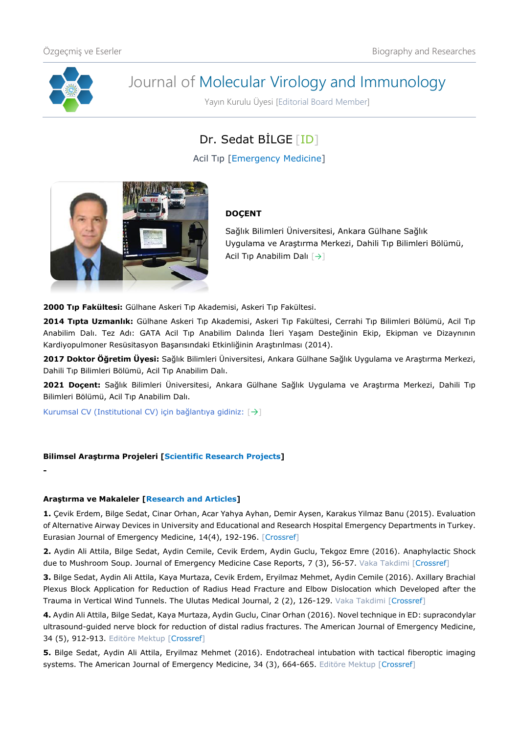

**-**

# Journal of Molecular Virology and Immunology

Yayın Kurulu Üyesi [Editorial Board Member]

# Dr. Sedat BİLGE [\[ID\]](https://orcid.org/0000-0002-0669-2859)

Acil Tıp [Emergency Medicine]



## **DOÇENT**

Sağlık Bilimleri Üniversitesi, Ankara Gülhane Sağlık Uygulama ve Araştırma Merkezi, Dahili Tıp Bilimleri Bölümü, Acil Tıp Anabilim Dalı [[→](http://gulhanetip.sbu.edu.tr/Akademik/AcilTipAnabilimDali)]

**2000 Tıp Fakültesi:** Gülhane Askeri Tıp Akademisi, Askeri Tıp Fakültesi.

**2014 Tıpta Uzmanlık:** Gülhane Askeri Tıp Akademisi, Askeri Tıp Fakültesi, Cerrahi Tıp Bilimleri Bölümü, Acil Tıp Anabilim Dalı. Tez Adı: GATA Acil Tıp Anabilim Dalında İleri Yaşam Desteğinin Ekip, Ekipman ve Dizaynının Kardiyopulmoner Resüsitasyon Başarısındaki Etkinliğinin Araştırılması (2014).

**2017 Doktor Öğretim Üyesi:** Sağlık Bilimleri Üniversitesi, Ankara Gülhane Sağlık Uygulama ve Araştırma Merkezi, Dahili Tıp Bilimleri Bölümü, Acil Tıp Anabilim Dalı.

**2021 Doçent:** Sağlık Bilimleri Üniversitesi, Ankara Gülhane Sağlık Uygulama ve Araştırma Merkezi, Dahili Tıp Bilimleri Bölümü, Acil Tıp Anabilim Dalı.

Kurumsal CV (Institutional CV) için bağlantıya gidiniz: [[→](http://gulhanetip.sbu.edu.tr/Akademik/AcilTipAnabilimDali)]

### **Bilimsel Araştırma Projeleri [Scientific Research Projects]**

### **Araştırma ve Makaleler [Research and Articles]**

**1.** Çevik Erdem, Bilge Sedat, Cinar Orhan, Acar Yahya Ayhan, Demir Aysen, Karakus Yilmaz Banu (2015). Evaluation of Alternative Airway Devices in University and Educational and Research Hospital Emergency Departments in Turkey. Eurasian Journal of Emergency Medicine, 14(4), 192-196. [\[Crossref\]](https://doi.org/10.5152/eajem.2015.05900)

**2.** Aydin Ali Attila, Bilge Sedat, Aydin Cemile, Cevik Erdem, Aydin Guclu, Tekgoz Emre (2016). Anaphylactic Shock due to Mushroom Soup. Journal of Emergency Medicine Case Reports, 7 (3), 56-57. Vaka Takdimi [\[Crossref\]](https://doi.org/10.5152/jemcr.2016.1449)

**3.** Bilge Sedat, Aydin Ali Attila, Kaya Murtaza, Cevik Erdem, Eryilmaz Mehmet, Aydin Cemile (2016). Axillary Brachial Plexus Block Application for Reduction of Radius Head Fracture and Elbow Dislocation which Developed after the Trauma in Vertical Wind Tunnels. The Ulutas Medical Journal, 2 (2), 126-129. Vaka Takdimi [\[Crossref\]](https://doi.org/10.5455/umj.20160503021306)

**4.** Aydin Ali Attila, Bilge Sedat, Kaya Murtaza, Aydin Guclu, Cinar Orhan (2016). Novel technique in ED: supracondylar ultrasound-guided nerve block for reduction of distal radius fractures. The American Journal of Emergency Medicine, 34 (5), 912-913. Editöre Mektup [\[Crossref\]](https://doi.org/10.1016/j.ajem.2016.02.032)

**5.** Bilge Sedat, Aydin Ali Attila, Eryilmaz Mehmet (2016). Endotracheal intubation with tactical fiberoptic imaging systems. The American Journal of Emergency Medicine, 34 (3), 664-665. Editöre Mektup [\[Crossref\]](https://doi.org/10.1016/j.ajem.2015.12.061)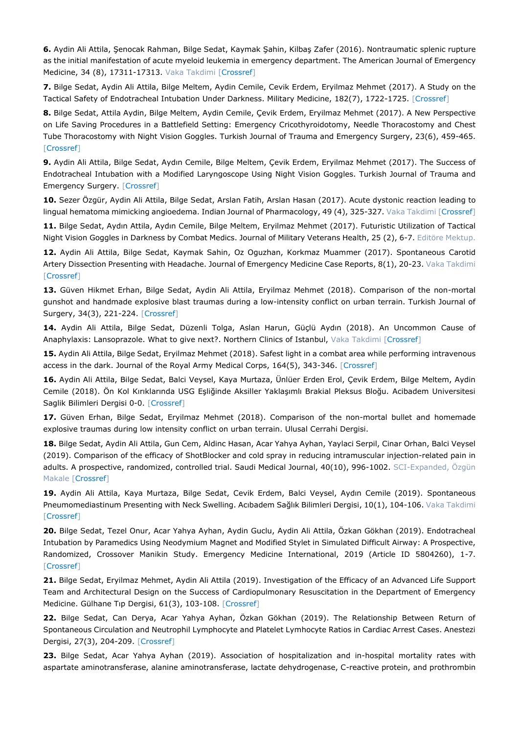**6.** Aydin Ali Attila, Şenocak Rahman, Bilge Sedat, Kaymak Şahin, Kilbaş Zafer (2016). Nontraumatic splenic rupture as the initial manifestation of acute myeloid leukemia in emergency department. The American Journal of Emergency Medicine, 34 (8), 17311-17313. Vaka Takdimi [\[Crossref\]](https://doi.org/10.1016/j.ajem.2015.12.044)

**7.** Bilge Sedat, Aydin Ali Attila, Bilge Meltem, Aydin Cemile, Cevik Erdem, Eryilmaz Mehmet (2017). A Study on the Tactical Safety of Endotracheal Intubation Under Darkness. Military Medicine, 182(7), 1722-1725. [\[Crossref\]](https://doi.org/10.7205/MILMED-D-16-00407)

**8.** Bilge Sedat, Attila Aydin, Bilge Meltem, Aydin Cemile, Çevik Erdem, Eryilmaz Mehmet (2017). A New Perspective on Life Saving Procedures in a Battlefield Setting: Emergency Cricothyroidotomy, Needle Thoracostomy and Chest Tube Thoracostomy with Night Vision Goggles. Turkish Journal of Trauma and Emergency Surgery, 23(6), 459-465. [\[Crossref\]](https://doi.org/10.5505/TJTES.2017.71670)

**9.** Aydin Ali Attila, Bilge Sedat, Aydın Cemile, Bilge Meltem, Çevik Erdem, Eryilmaz Mehmet (2017). The Success of Endotracheal Intubation with a Modified Laryngoscope Using Night Vision Goggles. Turkish Journal of Trauma and Emergency Surgery. [\[Crossref\]](https://doi.org/10.5505/tjtes.2017.27546)

**10.** Sezer Özgür, Aydin Ali Attila, Bilge Sedat, Arslan Fatih, Arslan Hasan (2017). Acute dystonic reaction leading to lingual hematoma mimicking angioedema. Indian Journal of Pharmacology, 49 (4), 325-327. Vaka Takdimi [\[Crossref\]](https://doi.org/10.4103/ijp.IJP_620_16)

**11.** Bilge Sedat, Aydın Attila, Aydın Cemile, Bilge Meltem, Eryilmaz Mehmet (2017). Futuristic Utilization of Tactical Night Vision Goggles in Darkness by Combat Medics. Journal of Military Veterans Health, 25 (2), 6-7. Editöre Mektup.

**12.** Aydin Ali Attila, Bilge Sedat, Kaymak Sahin, Oz Oguzhan, Korkmaz Muammer (2017). Spontaneous Carotid Artery Dissection Presenting with Headache. Journal of Emergency Medicine Case Reports, 8(1), 20-23. Vaka Takdimi [\[Crossref\]](https://doi.org/10.5152/jemcr.2016.1570)

**13.** Güven Hikmet Erhan, Bilge Sedat, Aydin Ali Attila, Eryilmaz Mehmet (2018). Comparison of the non-mortal gunshot and handmade explosive blast traumas during a low-intensity conflict on urban terrain. Turkish Journal of Surgery, 34(3), 221-224. [\[Crossref\]](https://doi.org/10.5152/turkjsurg.2018.3889)

**14.** Aydin Ali Attila, Bilge Sedat, Düzenli Tolga, Aslan Harun, Güçlü Aydın (2018). An Uncommon Cause of Anaphylaxis: Lansoprazole. What to give next?. Northern Clinics of Istanbul, Vaka Takdimi [\[Crossref\]](https://doi.org/10.14744/nci.2018.36539)

**15.** Aydin Ali Attila, Bilge Sedat, Eryilmaz Mehmet (2018). Safest light in a combat area while performing intravenous access in the dark. Journal of the Royal Army Medical Corps, 164(5), 343-346. [\[Crossref\]](https://doi.org/10.1136/jramc2017-000898)

**16.** Aydin Ali Attila, Bilge Sedat, Balci Veysel, Kaya Murtaza, Ünlüer Erden Erol, Çevik Erdem, Bilge Meltem, Aydin Cemile (2018). Ön Kol Kırıklarında USG Eşliğinde Aksiller Yaklaşımlı Brakial Pleksus Bloğu. Acibadem Universitesi Saglik Bilimleri Dergisi 0-0. [\[Crossref\]](https://doi.org/10.31067/0.2018.26)

**17.** Güven Erhan, Bilge Sedat, Eryilmaz Mehmet (2018). Comparison of the non-mortal bullet and homemade explosive traumas during low intensity conflict on urban terrain. Ulusal Cerrahi Dergisi.

**18.** Bilge Sedat, Aydin Ali Attila, Gun Cem, Aldinc Hasan, Acar Yahya Ayhan, Yaylaci Serpil, Cinar Orhan, Balci Veysel (2019). Comparison of the efficacy of ShotBlocker and cold spray in reducing intramuscular injection-related pain in adults. A prospective, randomized, controlled trial. Saudi Medical Journal, 40(10), 996-1002. SCI-Expanded, Özgün Makale [\[Crossref\]](https://doi.org/10.15537/smj.2019.10.24322)

**19.** Aydin Ali Attila, Kaya Murtaza, Bilge Sedat, Cevik Erdem, Balci Veysel, Aydın Cemile (2019). Spontaneous Pneumomediastinum Presenting with Neck Swelling. Acıbadem Sağlık Bilimleri Dergisi, 10(1), 104-106. Vaka Takdimi [\[Crossref\]](https://doi.org/10.31067/0.2019.111)

**20.** Bilge Sedat, Tezel Onur, Acar Yahya Ayhan, Aydin Guclu, Aydin Ali Attila, Özkan Gökhan (2019). Endotracheal Intubation by Paramedics Using Neodymium Magnet and Modified Stylet in Simulated Difficult Airway: A Prospective, Randomized, Crossover Manikin Study. Emergency Medicine International, 2019 (Article ID 5804260), 1-7. [\[Crossref\]](https://doi.org/10.1155/2019/5804260)

**21.** Bilge Sedat, Eryilmaz Mehmet, Aydin Ali Attila (2019). Investigation of the Efficacy of an Advanced Life Support Team and Architectural Design on the Success of Cardiopulmonary Resuscitation in the Department of Emergency Medicine. Gülhane Tıp Dergisi, 61(3), 103-108. [\[Crossref\]](https://doi.org/10.26657%20/%20gulhane.00065)

**22.** Bilge Sedat, Can Derya, Acar Yahya Ayhan, Özkan Gökhan (2019). The Relationship Between Return of Spontaneous Circulation and Neutrophil Lymphocyte and Platelet Lymhocyte Ratios in Cardiac Arrest Cases. Anestezi Dergisi, 27(3), 204-209. [\[Crossref\]](https://doi.org/10.5222/jarss.2019.29392)

**23.** Bilge Sedat, Acar Yahya Ayhan (2019). Association of hospitalization and in-hospital mortality rates with aspartate aminotransferase, alanine aminotransferase, lactate dehydrogenase, C-reactive protein, and prothrombin